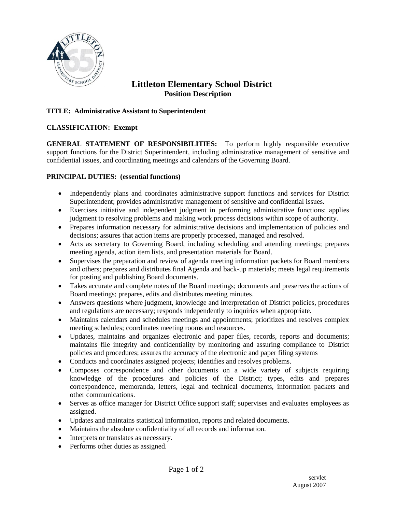

# **Littleton Elementary School District Position Description**

## **TITLE: Administrative Assistant to Superintendent**

### **CLASSIFICATION: Exempt**

**GENERAL STATEMENT OF RESPONSIBILITIES:** To perform highly responsible executive support functions for the District Superintendent, including administrative management of sensitive and confidential issues, and coordinating meetings and calendars of the Governing Board.

### **PRINCIPAL DUTIES: (essential functions)**

- Independently plans and coordinates administrative support functions and services for District Superintendent; provides administrative management of sensitive and confidential issues.
- Exercises initiative and independent judgment in performing administrative functions; applies judgment to resolving problems and making work process decisions within scope of authority.
- Prepares information necessary for administrative decisions and implementation of policies and decisions; assures that action items are properly processed, managed and resolved.
- Acts as secretary to Governing Board, including scheduling and attending meetings; prepares meeting agenda, action item lists, and presentation materials for Board.
- Supervises the preparation and review of agenda meeting information packets for Board members and others; prepares and distributes final Agenda and back-up materials; meets legal requirements for posting and publishing Board documents.
- Takes accurate and complete notes of the Board meetings; documents and preserves the actions of Board meetings; prepares, edits and distributes meeting minutes.
- Answers questions where judgment, knowledge and interpretation of District policies, procedures and regulations are necessary; responds independently to inquiries when appropriate.
- Maintains calendars and schedules meetings and appointments; prioritizes and resolves complex meeting schedules; coordinates meeting rooms and resources.
- Updates, maintains and organizes electronic and paper files, records, reports and documents; maintains file integrity and confidentiality by monitoring and assuring compliance to District policies and procedures; assures the accuracy of the electronic and paper filing systems
- Conducts and coordinates assigned projects; identifies and resolves problems.
- Composes correspondence and other documents on a wide variety of subjects requiring knowledge of the procedures and policies of the District; types, edits and prepares correspondence, memoranda, letters, legal and technical documents, information packets and other communications.
- Serves as office manager for District Office support staff; supervises and evaluates employees as assigned.
- Updates and maintains statistical information, reports and related documents.
- Maintains the absolute confidentiality of all records and information.
- Interprets or translates as necessary.
- Performs other duties as assigned.